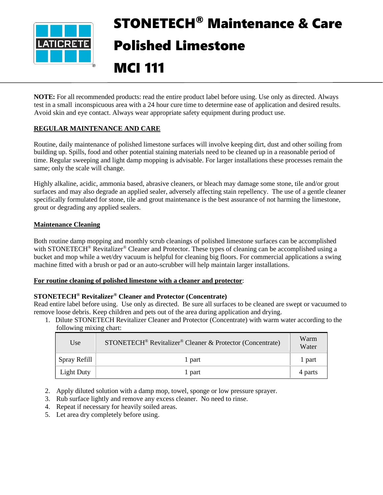

# STONETECH® Maintenance & Care Polished Limestone MCI 111

**NOTE:** For all recommended products: read the entire product label before using. Use only as directed. Always test in a small inconspicuous area with a 24 hour cure time to determine ease of application and desired results. Avoid skin and eye contact. Always wear appropriate safety equipment during product use.

# **REGULAR MAINTENANCE AND CARE**

Routine, daily maintenance of polished limestone surfaces will involve keeping dirt, dust and other soiling from building up. Spills, food and other potential staining materials need to be cleaned up in a reasonable period of time. Regular sweeping and light damp mopping is advisable. For larger installations these processes remain the same; only the scale will change.

Highly alkaline, acidic, ammonia based, abrasive cleaners, or bleach may damage some stone, tile and/or grout surfaces and may also degrade an applied sealer, adversely affecting stain repellency. The use of a gentle cleaner specifically formulated for stone, tile and grout maintenance is the best assurance of not harming the limestone, grout or degrading any applied sealers.

# **Maintenance Cleaning**

Both routine damp mopping and monthly scrub cleanings of polished limestone surfaces can be accomplished with STONETECH<sup>®</sup> Revitalizer<sup>®</sup> Cleaner and Protector. These types of cleaning can be accomplished using a bucket and mop while a wet/dry vacuum is helpful for cleaning big floors. For commercial applications a swing machine fitted with a brush or pad or an auto-scrubber will help maintain larger installations.

#### **For routine cleaning of polished limestone with a cleaner and protector**:

#### **STONETECH® Revitalizer® Cleaner and Protector (Concentrate)**

Read entire label before using. Use only as directed. Be sure all surfaces to be cleaned are swept or vacuumed to remove loose debris. Keep children and pets out of the area during application and drying.

1. Dilute STONETECH Revitalizer Cleaner and Protector (Concentrate) with warm water according to the following mixing chart:

| Use               | STONETECH <sup>®</sup> Revitalizer <sup>®</sup> Cleaner & Protector (Concentrate) | Warm<br>Water |
|-------------------|-----------------------------------------------------------------------------------|---------------|
| Spray Refill      | 1 part                                                                            | l part        |
| <b>Light Duty</b> | 1 part                                                                            | 4 parts       |

- 2. Apply diluted solution with a damp mop, towel, sponge or low pressure sprayer.
- 3. Rub surface lightly and remove any excess cleaner. No need to rinse.
- 4. Repeat if necessary for heavily soiled areas.
- 5. Let area dry completely before using.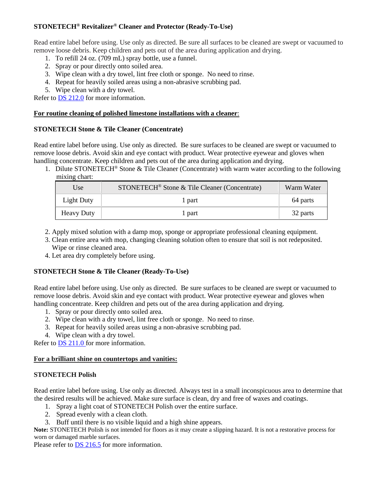# **STONETECH® Revitalizer® Cleaner and Protector (Ready-To-Use)**

Read entire label before using. Use only as directed. Be sure all surfaces to be cleaned are swept or vacuumed to remove loose debris. Keep children and pets out of the area during application and drying.

- 1. To refill 24 oz. (709 mL) spray bottle, use a funnel.
- 2. Spray or pour directly onto soiled area.
- 3. Wipe clean with a dry towel, lint free cloth or sponge. No need to rinse.
- 4. Repeat for heavily soiled areas using a non-abrasive scrubbing pad.
- 5. Wipe clean with a dry towel.

Refer to [DS 212.0](https://cdn.laticrete.com/~/media/product-documents/product-data-sheets/ds-212.ashx) for more information.

## **For routine cleaning of polished limestone installations with a cleaner**:

#### **STONETECH Stone & Tile Cleaner (Concentrate)**

Read entire label before using. Use only as directed. Be sure surfaces to be cleaned are swept or vacuumed to remove loose debris. Avoid skin and eye contact with product. Wear protective eyewear and gloves when handling concentrate. Keep children and pets out of the area during application and drying.

1. Dilute STONETECH® Stone & Tile Cleaner (Concentrate) with warm water according to the following mixing chart:

| Use               | STONETECH <sup>®</sup> Stone & Tile Cleaner (Concentrate) | Warm Water |
|-------------------|-----------------------------------------------------------|------------|
| Light Duty        | 1 part                                                    | 64 parts   |
| <b>Heavy Duty</b> | 1 part                                                    | 32 parts   |

- 2. Apply mixed solution with a damp mop, sponge or appropriate professional cleaning equipment.
- 3. Clean entire area with mop, changing cleaning solution often to ensure that soil is not redeposited. Wipe or rinse cleaned area.
- 4. Let area dry completely before using.

# **STONETECH Stone & Tile Cleaner (Ready-To-Use)**

Read entire label before using. Use only as directed. Be sure surfaces to be cleaned are swept or vacuumed to remove loose debris. Avoid skin and eye contact with product. Wear protective eyewear and gloves when handling concentrate. Keep children and pets out of the area during application and drying.

- 1. Spray or pour directly onto soiled area.
- 2. Wipe clean with a dry towel, lint free cloth or sponge. No need to rinse.
- 3. Repeat for heavily soiled areas using a non-abrasive scrubbing pad.
- 4. Wipe clean with a dry towel.

Refer to **DS 211.0** for more information.

#### **For a brilliant shine on countertops and vanities:**

#### **STONETECH Polish**

Read entire label before using. Use only as directed. Always test in a small inconspicuous area to determine that the desired results will be achieved. Make sure surface is clean, dry and free of waxes and coatings.

- 1. Spray a light coat of STONETECH Polish over the entire surface.
- 2. Spread evenly with a clean cloth.
- 3. Buff until there is no visible liquid and a high shine appears.

**Note:** STONETECH Polish is not intended for floors as it may create a slipping hazard. It is not a restorative process for worn or damaged marble surfaces.

Please refer to **DS** 216.5 for more information.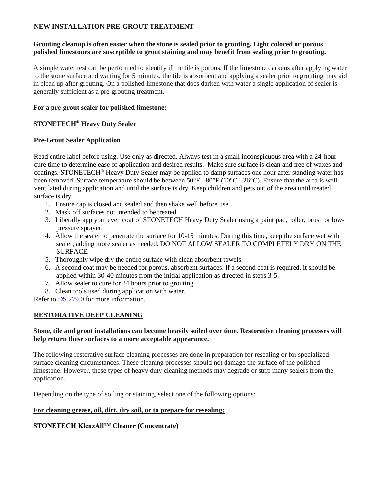# **NEW INSTALLATION PRE-GROUT TREATMENT**

## **Grouting cleanup is often easier when the stone is sealed prior to grouting. Light colored or porous polished limestones are susceptible to grout staining and may benefit from sealing prior to grouting.**

A simple water test can be performed to identify if the tile is porous. If the limestone darkens after applying water to the stone surface and waiting for 5 minutes, the tile is absorbent and applying a sealer prior to grouting may aid in clean up after grouting. On a polished limestone that does darken with water a single application of sealer is generally sufficient as a pre-grouting treatment.

#### **For a pre-grout sealer for polished limestone:**

## **STONETECH® Heavy Duty Sealer**

#### **Pre-Grout Sealer Application**

Read entire label before using. Use only as directed. Always test in a small inconspicuous area with a 24-hour cure time to determine ease of application and desired results. Make sure surface is clean and free of waxes and coatings. STONETECH® Heavy Duty Sealer may be applied to damp surfaces one hour after standing water has been removed. Surface temperature should be between 50°F - 80°F (10°C - 26°C). Ensure that the area is wellventilated during application and until the surface is dry. Keep children and pets out of the area until treated surface is dry.

- 1. Ensure cap is closed and sealed and then shake well before use.
- 2. Mask off surfaces not intended to be treated.
- 3. Liberally apply an even coat of STONETECH Heavy Duty Sealer using a paint pad, roller, brush or lowpressure sprayer.
- 4. Allow the sealer to penetrate the surface for 10-15 minutes. During this time, keep the surface wet with sealer, adding more sealer as needed. DO NOT ALLOW SEALER TO COMPLETELY DRY ON THE SURFACE.
- 5. Thoroughly wipe dry the entire surface with clean absorbent towels.
- 6. A second coat may be needed for porous, absorbent surfaces. If a second coat is required, it should be applied within 30-40 minutes from the initial application as directed in steps 3-5.
- 7. Allow sealer to cure for 24 hours prior to grouting.
- 8. Clean tools used during application with water.

Refer to **DS 279.0** for more information.

#### **RESTORATIVE DEEP CLEANING**

#### **Stone, tile and grout installations can become heavily soiled over time. Restorative cleaning processes will help return these surfaces to a more acceptable appearance.**

The following restorative surface cleaning processes are done in preparation for resealing or for specialized surface cleaning circumstances. These cleaning processes should not damage the surface of the polished limestone. However, these types of heavy duty cleaning methods may degrade or strip many sealers from the application.

Depending on the type of soiling or staining, select one of the following options:

## **For cleaning grease, oil, dirt, dry soil, or to prepare for resealing:**

#### **STONETECH KlenzAll™ Cleaner (Concentrate)**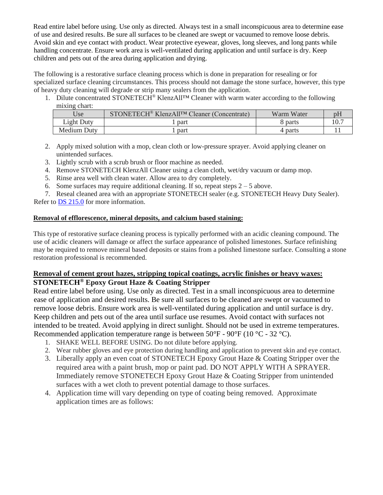Read entire label before using. Use only as directed. Always test in a small inconspicuous area to determine ease of use and desired results. Be sure all surfaces to be cleaned are swept or vacuumed to remove loose debris. Avoid skin and eye contact with product. Wear protective eyewear, gloves, long sleeves, and long pants while handling concentrate. Ensure work area is well-ventilated during application and until surface is dry. Keep children and pets out of the area during application and drying.

The following is a restorative surface cleaning process which is done in preparation for resealing or for specialized surface cleaning circumstances. This process should not damage the stone surface, however, this type of heavy duty cleaning will degrade or strip many sealers from the application.

1. Dilute concentrated STONETECH® KlenzAll™ Cleaner with warm water according to the following mixing chart:

| Use         | STONETECH <sup>®</sup> KlenzAll <sup>TM</sup> Cleaner (Concentrate) | Warm Water |  |
|-------------|---------------------------------------------------------------------|------------|--|
| Light Duty  | part                                                                | 8 parts    |  |
| Medium Duty | part                                                                | 4 parts    |  |

- 2. Apply mixed solution with a mop, clean cloth or low-pressure sprayer. Avoid applying cleaner on unintended surfaces.
- 3. Lightly scrub with a scrub brush or floor machine as needed.
- 4. Remove STONETECH KlenzAll Cleaner using a clean cloth, wet/dry vacuum or damp mop.
- 5. Rinse area well with clean water. Allow area to dry completely.
- 6. Some surfaces may require additional cleaning. If so, repeat steps  $2 5$  above.

7. Reseal cleaned area with an appropriate STONETECH sealer (e.g. STONETECH Heavy Duty Sealer). Refer to [DS 215.0](https://cdn.laticrete.com/~/media/product-documents/product-data-sheets/ds-215.ashx) for more information.

# **Removal of efflorescence, mineral deposits, and calcium based staining:**

This type of restorative surface cleaning process is typically performed with an acidic cleaning compound. The use of acidic cleaners will damage or affect the surface appearance of polished limestones. Surface refinishing may be required to remove mineral based deposits or stains from a polished limestone surface. Consulting a stone restoration professional is recommended.

# **Removal of cement grout hazes, stripping topical coatings, acrylic finishes or heavy waxes: STONETECH® Epoxy Grout Haze & Coating Stripper**

Read entire label before using. Use only as directed. Test in a small inconspicuous area to determine ease of application and desired results. Be sure all surfaces to be cleaned are swept or vacuumed to remove loose debris. Ensure work area is well-ventilated during application and until surface is dry. Keep children and pets out of the area until surface use resumes. Avoid contact with surfaces not intended to be treated. Avoid applying in direct sunlight. Should not be used in extreme temperatures. Recommended application temperature range is between  $50^{\circ}$ F -  $90^{\circ}$ F (10  $^{\circ}$ C - 32  $^{\circ}$ C).

- 1. SHAKE WELL BEFORE USING. Do not dilute before applying.
- 2. Wear rubber gloves and eye protection during handling and application to prevent skin and eye contact.
- 3. Liberally apply an even coat of STONETECH Epoxy Grout Haze & Coating Stripper over the required area with a paint brush, mop or paint pad. DO NOT APPLY WITH A SPRAYER. Immediately remove STONETECH Epoxy Grout Haze & Coating Stripper from unintended surfaces with a wet cloth to prevent potential damage to those surfaces.
- 4. Application time will vary depending on type of coating being removed. Approximate application times are as follows: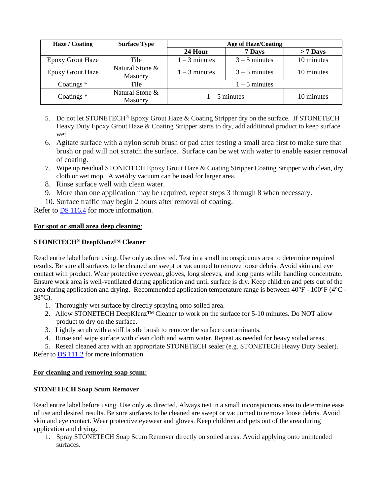| Haze / Coating          | <b>Surface Type</b>               | <b>Age of Haze/Coating</b> |                 |            |
|-------------------------|-----------------------------------|----------------------------|-----------------|------------|
|                         |                                   | 24 Hour                    | 7 Days          | $> 7$ Days |
| <b>Epoxy Grout Haze</b> | Tile                              | $1 - 3$ minutes            | $3 - 5$ minutes | 10 minutes |
| <b>Epoxy Grout Haze</b> | Natural Stone &<br><b>Masonry</b> | $1 - 3$ minutes            | $3 - 5$ minutes | 10 minutes |
| Coatings $*$            | Tile                              | $1 - 5$ minutes            |                 |            |
| Coatings $*$            | Natural Stone &<br>Masonry        | $1 - 5$ minutes            |                 | 10 minutes |

- 5. Do not let STONETECH® Epoxy Grout Haze & Coating Stripper dry on the surface. If STONETECH Heavy Duty Epoxy Grout Haze & Coating Stripper starts to dry, add additional product to keep surface wet.
- 6. Agitate surface with a nylon scrub brush or pad after testing a small area first to make sure that brush or pad will not scratch the surface. Surface can be wet with water to enable easier removal of coating.
- 7. Wipe up residual STONETECH Epoxy Grout Haze & Coating Stripper Coating Stripper with clean, dry cloth or wet mop. A wet/dry vacuum can be used for larger area.
- 8. Rinse surface well with clean water.
- 9. More than one application may be required, repeat steps 3 through 8 when necessary.
- 10. Surface traffic may begin 2 hours after removal of coating.

Refer to [DS 116.4](https://cdn.laticrete.com/~/media/product-documents/product-data-sheets/ds1664_stonetech-epoxy-grout-haze-coating-stripper.ashx) for more information.

## **For spot or small area deep cleaning**:

# **STONETECH® DeepKlenz™ Cleaner**

Read entire label before using. Use only as directed. Test in a small inconspicuous area to determine required results. Be sure all surfaces to be cleaned are swept or vacuumed to remove loose debris. Avoid skin and eye contact with product. Wear protective eyewear, gloves, long sleeves, and long pants while handling concentrate. Ensure work area is well-ventilated during application and until surface is dry. Keep children and pets out of the area during application and drying. Recommended application temperature range is between 40°F - 100°F (4°C - 38°C).

- 1. Thoroughly wet surface by directly spraying onto soiled area.
- 2. Allow STONETECH DeepKlenz™ Cleaner to work on the surface for 5-10 minutes. Do NOT allow product to dry on the surface.
- 3. Lightly scrub with a stiff bristle brush to remove the surface contaminants.
- 4. Rinse and wipe surface with clean cloth and warm water. Repeat as needed for heavy soiled areas.

5. Reseal cleaned area with an appropriate STONETECH sealer (e.g. STONETECH Heavy Duty Sealer). Refer to [DS 111.2](https://cdn.laticrete.com/~/media/product-documents/product-data-sheets/ds-1112.ashx) for more information.

#### **For cleaning and removing soap scum:**

# **STONETECH Soap Scum Remover**

Read entire label before using. Use only as directed. Always test in a small inconspicuous area to determine ease of use and desired results. Be sure surfaces to be cleaned are swept or vacuumed to remove loose debris. Avoid skin and eye contact. Wear protective eyewear and gloves. Keep children and pets out of the area during application and drying.

1. Spray STONETECH Soap Scum Remover directly on soiled areas. Avoid applying onto unintended surfaces.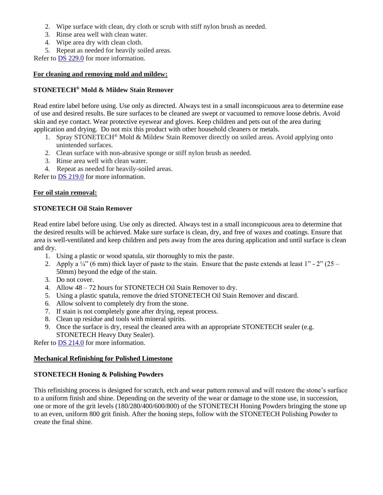- 2. Wipe surface with clean, dry cloth or scrub with stiff nylon brush as needed.
- 3. Rinse area well with clean water.
- 4. Wipe area dry with clean cloth.
- 5. Repeat as needed for heavily soiled areas.

Refer to [DS 229.0](https://cdn.laticrete.com/~/media/product-documents/product-data-sheets/ds-229.ashx) for more information.

## **For cleaning and removing mold and mildew:**

## **STONETECH® Mold & Mildew Stain Remover**

Read entire label before using. Use only as directed. Always test in a small inconspicuous area to determine ease of use and desired results. Be sure surfaces to be cleaned are swept or vacuumed to remove loose debris. Avoid skin and eye contact. Wear protective eyewear and gloves. Keep children and pets out of the area during application and drying. Do not mix this product with other household cleaners or metals.

- 1. Spray STONETECH® Mold & Mildew Stain Remover directly on soiled areas. Avoid applying onto unintended surfaces.
- 2. Clean surface with non-abrasive sponge or stiff nylon brush as needed.
- 3. Rinse area well with clean water.
- 4. Repeat as needed for heavily-soiled areas.

Refer to [DS 219.0](https://cdn.laticrete.com/~/media/product-documents/product-data-sheets/ds-219.ashx) for more information.

## **For oil stain removal:**

## **STONETECH Oil Stain Remover**

Read entire label before using. Use only as directed. Always test in a small inconspicuous area to determine that the desired results will be achieved. Make sure surface is clean, dry, and free of waxes and coatings. Ensure that area is well-ventilated and keep children and pets away from the area during application and until surface is clean and dry.

- 1. Using a plastic or wood spatula, stir thoroughly to mix the paste.
- 2. Apply a  $\frac{1}{4}$  (6 mm) thick layer of paste to the stain. Ensure that the paste extends at least 1" 2" (25 50mm) beyond the edge of the stain.
- 3. Do not cover.
- 4. Allow 48 72 hours for STONETECH Oil Stain Remover to dry.
- 5. Using a plastic spatula, remove the dried STONETECH Oil Stain Remover and discard.
- 6. Allow solvent to completely dry from the stone.
- 7. If stain is not completely gone after drying, repeat process.
- 8. Clean up residue and tools with mineral spirits.
- 9. Once the surface is dry, reseal the cleaned area with an appropriate STONETECH sealer (e.g. STONETECH Heavy Duty Sealer).

Refer to **DS 214.0** for more information.

#### **Mechanical Refinishing for Polished Limestone**

# **STONETECH Honing & Polishing Powders**

This refinishing process is designed for scratch, etch and wear pattern removal and will restore the stone's surface to a uniform finish and shine. Depending on the severity of the wear or damage to the stone use, in succession, one or more of the grit levels (180/280/400/600/800) of the STONETECH Honing Powders bringing the stone up to an even, uniform 800 grit finish. After the honing steps, follow with the STONETECH Polishing Powder to create the final shine.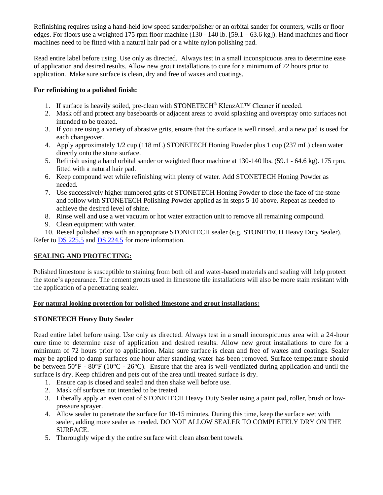Refinishing requires using a hand-held low speed sander/polisher or an orbital sander for counters, walls or floor edges. For floors use a weighted 175 rpm floor machine (130 - 140 lb. [59.1 – 63.6 kg]). Hand machines and floor machines need to be fitted with a natural hair pad or a white nylon polishing pad.

Read entire label before using. Use only as directed. Always test in a small inconspicuous area to determine ease of application and desired results. Allow new grout installations to cure for a minimum of 72 hours prior to application. Make sure surface is clean, dry and free of waxes and coatings.

## **For refinishing to a polished finish:**

- 1. If surface is heavily soiled, pre-clean with STONETECH® KlenzAll™ Cleaner if needed.
- 2. Mask off and protect any baseboards or adjacent areas to avoid splashing and overspray onto surfaces not intended to be treated.
- 3. If you are using a variety of abrasive grits, ensure that the surface is well rinsed, and a new pad is used for each changeover.
- 4. Apply approximately 1/2 cup (118 mL) STONETECH Honing Powder plus 1 cup (237 mL) clean water directly onto the stone surface.
- 5. Refinish using a hand orbital sander or weighted floor machine at 130-140 lbs. (59.1 64.6 kg). 175 rpm, fitted with a natural hair pad.
- 6. Keep compound wet while refinishing with plenty of water. Add STONETECH Honing Powder as needed.
- 7. Use successively higher numbered grits of STONETECH Honing Powder to close the face of the stone and follow with STONETECH Polishing Powder applied as in steps 5-10 above. Repeat as needed to achieve the desired level of shine.
- 8. Rinse well and use a wet vacuum or hot water extraction unit to remove all remaining compound.
- 9. Clean equipment with water.

10. Reseal polished area with an appropriate STONETECH sealer (e.g. STONETECH Heavy Duty Sealer). Refer to **DS** 225.5 and **DS** 224.5 for more information.

# **SEALING AND PROTECTING:**

Polished limestone is susceptible to staining from both oil and water-based materials and sealing will help protect the stone's appearance. The cement grouts used in limestone tile installations will also be more stain resistant with the application of a penetrating sealer.

# **For natural looking protection for polished limestone and grout installations:**

# **STONETECH Heavy Duty Sealer**

Read entire label before using. Use only as directed. Always test in a small inconspicuous area with a 24-hour cure time to determine ease of application and desired results. Allow new grout installations to cure for a minimum of 72 hours prior to application. Make sure surface is clean and free of waxes and coatings. Sealer may be applied to damp surfaces one hour after standing water has been removed. Surface temperature should be between  $50^{\circ}F - 80^{\circ}F (10^{\circ}C - 26^{\circ}C)$ . Ensure that the area is well-ventilated during application and until the surface is dry. Keep children and pets out of the area until treated surface is dry.

- 1. Ensure cap is closed and sealed and then shake well before use.
- 2. Mask off surfaces not intended to be treated.
- 3. Liberally apply an even coat of STONETECH Heavy Duty Sealer using a paint pad, roller, brush or lowpressure sprayer.
- 4. Allow sealer to penetrate the surface for 10-15 minutes. During this time, keep the surface wet with sealer, adding more sealer as needed. DO NOT ALLOW SEALER TO COMPLETELY DRY ON THE SURFACE.
- 5. Thoroughly wipe dry the entire surface with clean absorbent towels.